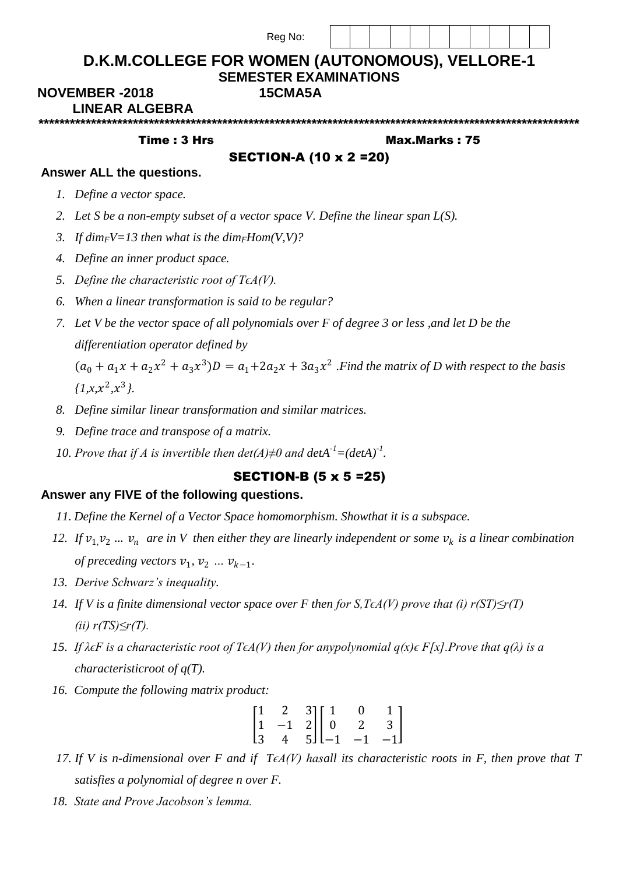|                                               | Reg No:                                                                         |               |
|-----------------------------------------------|---------------------------------------------------------------------------------|---------------|
|                                               | D.K.M.COLLEGE FOR WOMEN (AUTONOMOUS), VELLORE-1<br><b>SEMESTER EXAMINATIONS</b> |               |
| <b>NOVEMBER-2018</b><br><b>LINEAR ALGEBRA</b> | 15CMA5A                                                                         |               |
|                                               |                                                                                 |               |
| Time: 3 Hrs                                   |                                                                                 | Max.Marks: 75 |
|                                               | <b>SECTION-A (10 x 2 = 20)</b>                                                  |               |
| Answer ALL the questions.                     |                                                                                 |               |
| 1. Define a vector space.                     |                                                                                 |               |

- *3. If dimFV=13 then what is the dimFHom(V,V)?*
- *4. Define an inner product space.*
- *5. Define the characteristic root of TϵA(V).*
- *6. When a linear transformation is said to be regular?*
- *7. Let V be the vector space of all polynomials over F of degree 3 or less ,and let D be the differentiation operator defined by*

 $(a_0 + a_1x + a_2x^2 + a_3x^3)D = a_1 + 2a_2x + 3a_3x^2$  *. Find the matrix of D with respect to the basis*  $\{1, x, x^2, x^3\}.$ 

- *8. Define similar linear transformation and similar matrices.*
- *9. Define trace and transpose of a matrix.*
- *10. Prove that if A is invertible then*  $\det(A) \neq 0$  *and*  $\det(A^{-1}) = (\det(A))^{-1}$ *.*

## SECTION-B (5 x 5 =25)

## **Answer any FIVE of the following questions.**

- *11. Define the Kernel of a Vector Space homomorphism. Showthat it is a subspace.*
- 12. If  $v_1$ ,  $v_2$  ...  $v_n$  are in V then either they are linearly independent or some  $v_k$  is a linear combination *of preceding vectors*  $v_1$ ,  $v_2$  *…*  $v_{k-1}$ *.*
- *13. Derive Schwarz's inequality.*
- *14. If V* is a finite dimensional vector space over F then for S, T∈A(V) prove that (i) r(ST)≤r(T) *(ii) r(TS)≤r(T).*
- *15. If λϵF is a characteristic root of TϵA(V) then for anypolynomial q(x)ϵ F[x].Prove that q(λ) is a characteristicroot of q(T).*
- *16. Compute the following matrix product:*

$$
\begin{bmatrix} 1 & 2 & 3 \\ 1 & -1 & 2 \\ 3 & 4 & 5 \end{bmatrix} \begin{bmatrix} 1 & 0 & 1 \\ 0 & 2 & 3 \\ -1 & -1 & -1 \end{bmatrix}
$$

- *17.* If V is n-dimensional over F and if T∈A(V) hasall its characteristic roots in F, then prove that T *satisfies a polynomial of degree n over F.*
- *18. State and Prove Jacobson's lemma.*